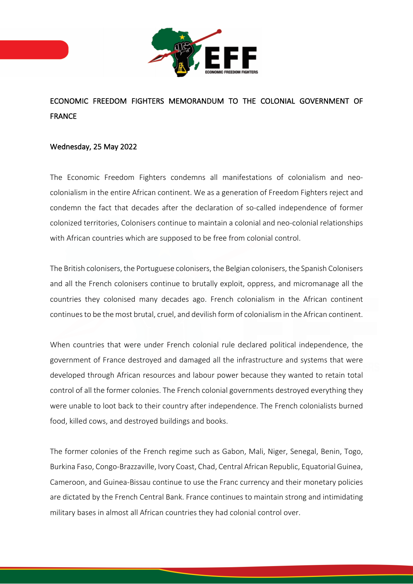

## ECONOMIC FREEDOM FIGHTERS MEMORANDUM TO THE COLONIAL GOVERNMENT OF FRANCE

## Wednesday, 25 May 2022

The Economic Freedom Fighters condemns all manifestations of colonialism and neocolonialism in the entire African continent. We as a generation of Freedom Fighters reject and condemn the fact that decades after the declaration of so-called independence of former colonized territories, Colonisers continue to maintain a colonial and neo-colonial relationships with African countries which are supposed to be free from colonial control.

The British colonisers, the Portuguese colonisers, the Belgian colonisers, the Spanish Colonisers and all the French colonisers continue to brutally exploit, oppress, and micromanage all the countries they colonised many decades ago. French colonialism in the African continent continues to be the most brutal, cruel, and devilish form of colonialism in the African continent.

When countries that were under French colonial rule declared political independence, the government of France destroyed and damaged all the infrastructure and systems that were developed through African resources and labour power because they wanted to retain total control of all the former colonies. The French colonial governments destroyed everything they were unable to loot back to their country after independence. The French colonialists burned food, killed cows, and destroyed buildings and books.

The former colonies of the French regime such as Gabon, Mali, Niger, Senegal, Benin, Togo, Burkina Faso, Congo-Brazzaville, Ivory Coast, Chad, Central African Republic, Equatorial Guinea, Cameroon, and Guinea-Bissau continue to use the Franc currency and their monetary policies are dictated by the French Central Bank. France continues to maintain strong and intimidating military bases in almost all African countries they had colonial control over.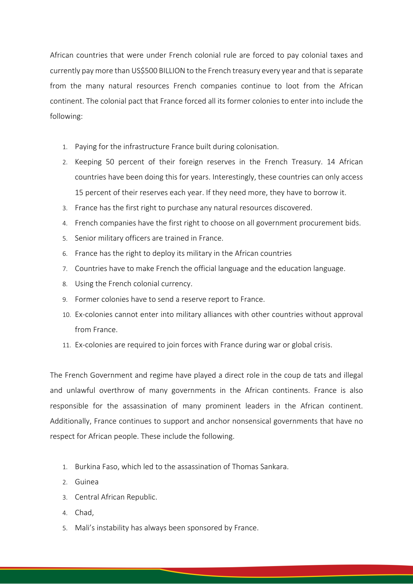African countries that were under French colonial rule are forced to pay colonial taxes and currently pay more than US\$500 BILLION to the French treasury every year and that is separate from the many natural resources French companies continue to loot from the African continent. The colonial pact that France forced all its former colonies to enter into include the following:

- 1. Paying for the infrastructure France built during colonisation.
- 2. Keeping 50 percent of their foreign reserves in the French Treasury. 14 African countries have been doing this for years. Interestingly, these countries can only access 15 percent of their reserves each year. If they need more, they have to borrow it.
- 3. France has the first right to purchase any natural resources discovered.
- 4. French companies have the first right to choose on all government procurement bids.
- 5. Senior military officers are trained in France.
- 6. France has the right to deploy its military in the African countries
- 7. Countries have to make French the official language and the education language.
- 8. Using the French colonial currency.
- 9. Former colonies have to send a reserve report to France.
- 10. Ex-colonies cannot enter into military alliances with other countries without approval from France.
- 11. Ex-colonies are required to join forces with France during war or global crisis.

The French Government and regime have played a direct role in the coup de tats and illegal and unlawful overthrow of many governments in the African continents. France is also responsible for the assassination of many prominent leaders in the African continent. Additionally, France continues to support and anchor nonsensical governments that have no respect for African people. These include the following.

- 1. Burkina Faso, which led to the assassination of Thomas Sankara.
- 2. Guinea
- 3. Central African Republic.
- 4. Chad,
- 5. Mali's instability has always been sponsored by France.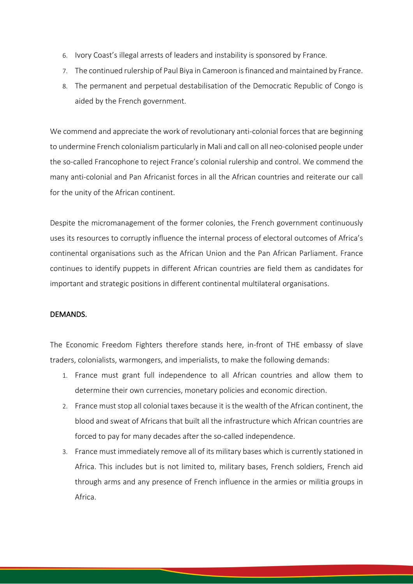- 6. Ivory Coast's illegal arrests of leaders and instability is sponsored by France.
- 7. The continued rulership of Paul Biya in Cameroon is financed and maintained by France.
- 8. The permanent and perpetual destabilisation of the Democratic Republic of Congo is aided by the French government.

We commend and appreciate the work of revolutionary anti-colonial forces that are beginning to undermine French colonialism particularly in Mali and call on all neo-colonised people under the so-called Francophone to reject France's colonial rulership and control. We commend the many anti-colonial and Pan Africanist forces in all the African countries and reiterate our call for the unity of the African continent.

Despite the micromanagement of the former colonies, the French government continuously uses its resources to corruptly influence the internal process of electoral outcomes of Africa's continental organisations such as the African Union and the Pan African Parliament. France continues to identify puppets in different African countries are field them as candidates for important and strategic positions in different continental multilateral organisations.

## DEMANDS.

The Economic Freedom Fighters therefore stands here, in-front of THE embassy of slave traders, colonialists, warmongers, and imperialists, to make the following demands:

- 1. France must grant full independence to all African countries and allow them to determine their own currencies, monetary policies and economic direction.
- 2. France must stop all colonial taxes because it is the wealth of the African continent, the blood and sweat of Africans that built all the infrastructure which African countries are forced to pay for many decades after the so-called independence.
- 3. France must immediately remove all of its military bases which is currently stationed in Africa. This includes but is not limited to, military bases, French soldiers, French aid through arms and any presence of French influence in the armies or militia groups in Africa.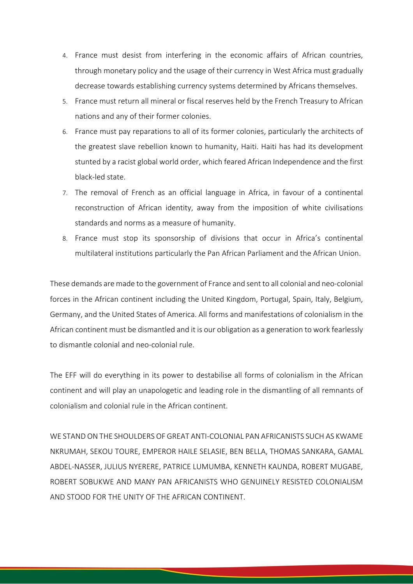- 4. France must desist from interfering in the economic affairs of African countries, through monetary policy and the usage of their currency in West Africa must gradually decrease towards establishing currency systems determined by Africans themselves.
- 5. France must return all mineral or fiscal reserves held by the French Treasury to African nations and any of their former colonies.
- 6. France must pay reparations to all of its former colonies, particularly the architects of the greatest slave rebellion known to humanity, Haiti. Haiti has had its development stunted by a racist global world order, which feared African Independence and the first black-led state.
- 7. The removal of French as an official language in Africa, in favour of a continental reconstruction of African identity, away from the imposition of white civilisations standards and norms as a measure of humanity.
- 8. France must stop its sponsorship of divisions that occur in Africa's continental multilateral institutions particularly the Pan African Parliament and the African Union.

These demands are made to the government of France and sent to all colonial and neo-colonial forces in the African continent including the United Kingdom, Portugal, Spain, Italy, Belgium, Germany, and the United States of America. All forms and manifestations of colonialism in the African continent must be dismantled and it is our obligation as a generation to work fearlessly to dismantle colonial and neo-colonial rule.

The EFF will do everything in its power to destabilise all forms of colonialism in the African continent and will play an unapologetic and leading role in the dismantling of all remnants of colonialism and colonial rule in the African continent.

WE STAND ON THE SHOULDERS OF GREAT ANTI-COLONIAL PAN AFRICANISTS SUCH AS KWAME NKRUMAH, SEKOU TOURE, EMPEROR HAILE SELASIE, BEN BELLA, THOMAS SANKARA, GAMAL ABDEL-NASSER, JULIUS NYERERE, PATRICE LUMUMBA, KENNETH KAUNDA, ROBERT MUGABE, ROBERT SOBUKWE AND MANY PAN AFRICANISTS WHO GENUINELY RESISTED COLONIALISM AND STOOD FOR THE UNITY OF THE AFRICAN CONTINENT.